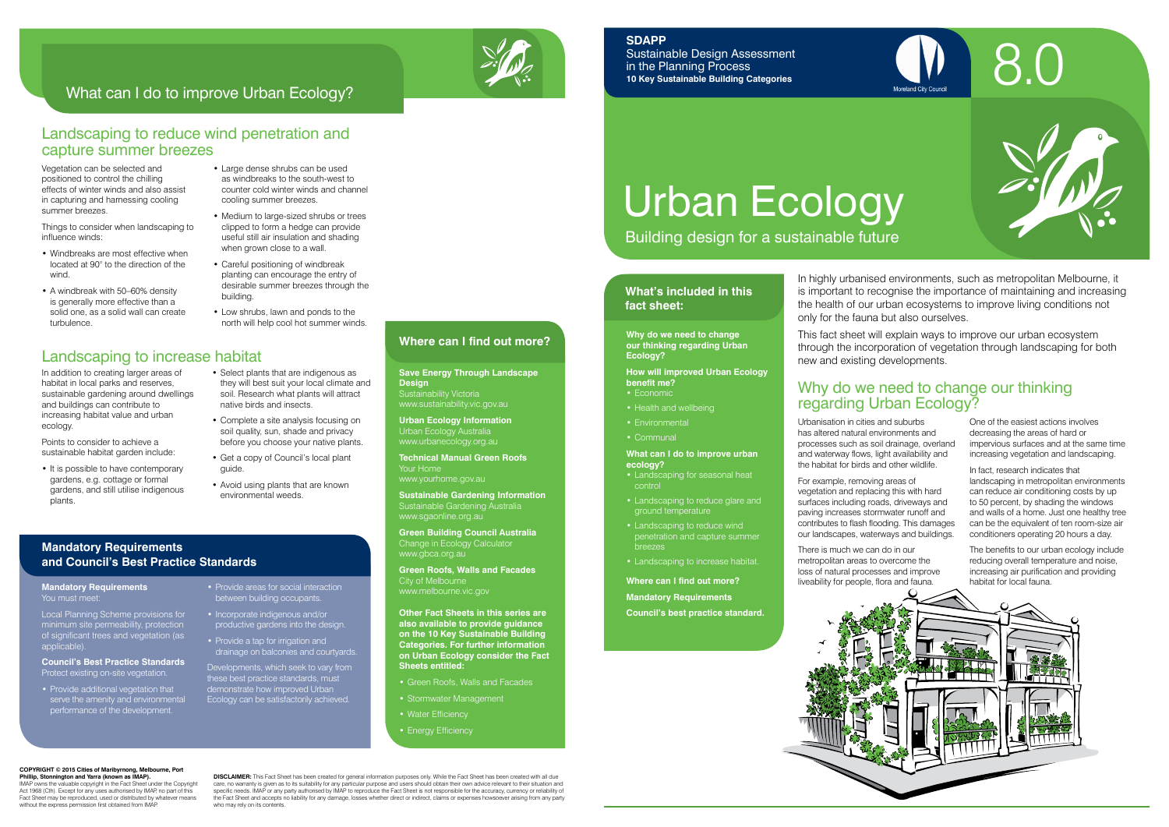# Urban Ecology

Building design for a sustainable future

#### **What's included in this fact sheet:**



Urbanisation in cities and suburbs has altered natural environments and processes such as soil drainage, overland and waterway flows, light availability and the habitat for birds and other wildlife.

For example, removing areas of vegetation and replacing this with hard surfaces including roads, driveways and paving increases stormwater runoff and contributes to flash flooding. This damages our landscapes, waterways and buildings.

There is much we can do in our metropolitan areas to overcome the loss of natural processes and improve liveability for people, flora and fauna.



One of the easiest actions involves decreasing the areas of hard or impervious surfaces and at the same time increasing vegetation and landscaping.

In fact, research indicates that landscaping in metropolitan environments can reduce air conditioning costs by up to 50 percent, by shading the windows and walls of a home. Just one healthy tree can be the equivalent of ten room-size air conditioners operating 20 hours a day.

The benefits to our urban ecology include reducing overall temperature and noise, increasing air purification and providing habitat for local fauna.

## Why do we need to change our thinking regarding Urban Ecology?

**Green Building Council Australia** Change in Ecology Calculator www.gbca.org.au

**Why do we need to change our thinking regarding Urban Ecology?**

**How will improved Urban Ecology benefit me?**

- Economic
- Health and wellbeing
- Environmental
- Communal

#### **What can I do to improve urban ecology?**

- Landscaping for seasonal heat control
- Landscaping to reduce glare and ground temperature
- Landscaping to reduce wind breezes
- Landscaping to increase habitat.
- **Where can I find out more?**
- **Mandatory Requirements**

**Council's best practice standard.**

In highly urbanised environments, such as metropolitan Melbourne, it is important to recognise the importance of maintaining and increasing the health of our urban ecosystems to improve living conditions not

- Large dense shrubs can be used as windbreaks to the south-west to counter cold winter winds and channel cooling summer breezes.
- Medium to large-sized shrubs or trees clipped to form a hedge can provide useful still air insulation and shading when grown close to a wall.
- Careful positioning of windbreak planting can encourage the entry of desirable summer breezes through the building.
- Low shrubs, lawn and ponds to the north will help cool hot summer winds.

# only for the fauna but also ourselves.

This fact sheet will explain ways to improve our urban ecosystem through the incorporation of vegetation through landscaping for both new and existing developments.



#### **SDAPP**

Sustainable Design Assessment in the Planning Process **10 Key Sustainable Building Categories**

#### **Design** Sustainability Victoria

www.sustainability.vic.gov.au

**Urban Ecology Information**  Urban Ecology Australia www.urbanecology.org.au

**Technical Manual Green Roofs** www.yourhome.gov.au

IMAP owns the valuable copyright in the Fact Sheet under the Copyright Act 1968 (Cth). Except for any uses authorised by IMAP, no part of this Fact Sheet may be reproduced, used or distributed by whatever means without the express permission first obtained from IMAF

**Sustainable Gardening Information**  Sustainable Gardening Australia www.sgaonline.org.au

**DISCLAIMER:** This Fact Sheet has been created for general information purposes only. While the Fact Sheet has been created with all due care, no warranty is given as to its suitability for any particular purpose and users should obtain their own advice relevant to their situation and<br>specific needs. IMAP or any party authorised by IMAP to reproduce the Fac the Fact Sheet and accepts no liability for any damage, losses whether direct or indirect, claims or expenses howsoever arising from any party who may rely on its contents.

**Save Energy Through Landscape Where can I find out more?**

**Green Roofs, Walls and Facades** City of Melbourne www.melbourne.vic.gov

**Other Fact Sheets in this series are also available to provide guidance on the 10 Key Sustainable Building Categories. For further information on Urban Ecology consider the Fact Sheets entitled:** 

- Green Roofs, Walls and Facades
- Stormwater Management
- 

#### • Energy Efficiency

Vegetation can be selected and positioned to control the chilling effects of winter winds and also assist in capturing and harnessing cooling summer breezes.

Things to consider when landscaping to influence winds:

- Windbreaks are most effective when located at 90° to the direction of the wind.
- A windbreak with 50–60% density is generally more effective than a solid one, as a solid wall can create turbulence.

## Landscaping to increase habitat

In addition to creating larger areas of habitat in local parks and reserves, sustainable gardening around dwellings and buildings can contribute to increasing habitat value and urban ecology.

Points to consider to achieve a sustainable habitat garden include:

- It is possible to have contemporary gardens, e.g. cottage or formal gardens, and still utilise indigenous plants.
- Select plants that are indigenous as they will best suit your local climate and soil. Research what plants will attract native birds and insects.
- Complete a site analysis focusing on soil quality, sun, shade and privacy before you choose your native plants.
- Get a copy of Council's local plant guide.
- 
- 
- 
- Avoid using plants that are known environmental weeds.

#### Landscaping to reduce wind penetration and capture summer breezes

## What can I do to improve Urban Ecology?

#### **Mandatory Requirements and Council's Best Practice Standards**

#### **COPYRIGHT © 2015 Cities of Maribyrnong, Melbourne, Port Phillip, Stonnington and Yarra (known as IMAP).**

#### **Mandatory Requirements** You must meet:

Local Planning Scheme provisions for minimum site permeability, protection of significant trees and vegetation (as applicable).

#### **Council's Best Practice Standards** Protect existing on-site vegetation.

- Provide additional vegetation that serve the amenity and environmental performance of the development.
- Provide areas for social interaction between building occupants.
- Incorporate indigenous and/or productive gardens into the design.
- Provide a tap for irrigation and drainage on balconies and courtyards.

Developments, which seek to vary from these best practice standards, must demonstrate how improved Urban Ecology can be satisfactorily achieved.

- 
- 
- 

- Water Efficiency
-